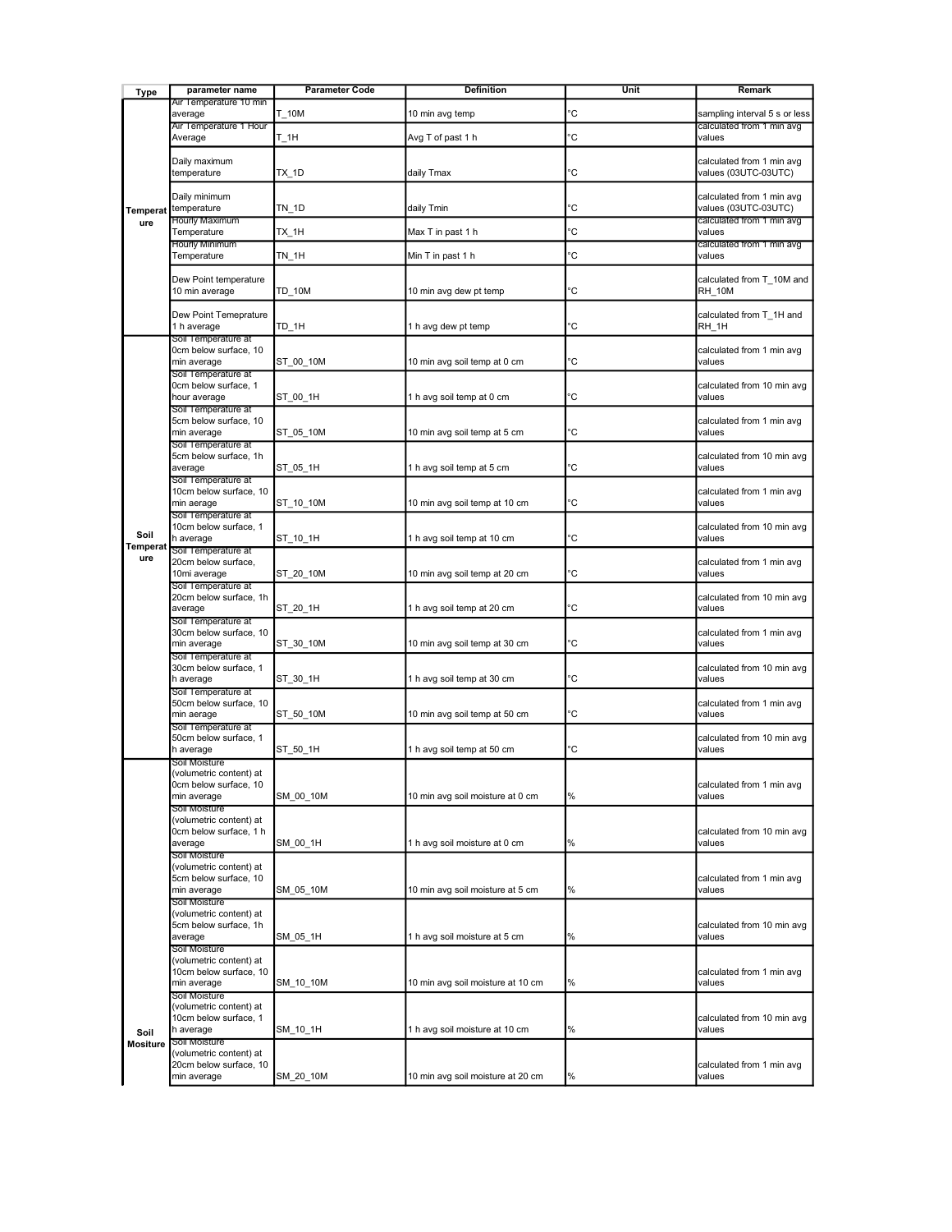| <b>Type</b>                    | parameter name                                                                    | <b>Parameter Code</b> | Definition                        | Unit   | Remark                                                      |
|--------------------------------|-----------------------------------------------------------------------------------|-----------------------|-----------------------------------|--------|-------------------------------------------------------------|
| <b>Temperat</b><br>ure         | Air Temperature 10 min<br>average                                                 | T 10M                 | 10 min avg temp                   | с      | sampling interval 5 s or less                               |
|                                | Air Temperature 1 Hour<br>Average                                                 | T_1H                  | Avg T of past 1 h                 | Ć      | calculated from 1 min avg<br>values                         |
|                                | Daily maximum<br>temperature                                                      | TX_1D                 | daily Tmax                        | с      | calculated from 1 min avg<br>values (03UTC-03UTC)           |
|                                | Daily minimum                                                                     |                       |                                   |        | calculated from 1 min avg                                   |
|                                | temperature<br>Hourly Maximum<br>Temperature                                      | TN_1D<br>TX 1H        | daily Tmin<br>Max T in past 1 h   | с<br>с | values (03UTC-03UTC)<br>calculated from 1 min avg<br>values |
|                                | Hourly Minimum                                                                    |                       |                                   | Ć      | calculated from 1 min avg                                   |
|                                | Temperature                                                                       | <b>TN 1H</b>          | Min T in past 1 h                 |        | values                                                      |
|                                | Dew Point temperature<br>10 min average                                           | TD_10M                | 10 min avg dew pt temp            | с      | calculated from T_10M and<br><b>RH 10M</b>                  |
|                                | Dew Point Temeprature<br>1 h average<br>Soil Temperature at                       | TD 1H                 | 1 h avg dew pt temp               | с      | calculated from T 1H and<br>RH 1H                           |
| Soil<br><b>Temperat</b><br>ure | 0cm below surface, 10<br>min average                                              | ST_00_10M             | 10 min avg soil temp at 0 cm      | 'C     | calculated from 1 min avg<br>values                         |
|                                | Soil Temperature at<br>0cm below surface, 1<br>hour average                       | ST 00 1H              | 1 h avg soil temp at 0 cm         | с      | calculated from 10 min avg<br>values                        |
|                                | Soil Temperature at<br>5cm below surface, 10<br>min average                       | ST_05_10M             | 10 min avg soil temp at 5 cm      | .C     | calculated from 1 min avg<br>values                         |
|                                | Soil Temperature at<br>5cm below surface, 1h<br>average                           | ST_05_1H              | 1 h avg soil temp at 5 cm         | с      | calculated from 10 min avg<br>values                        |
|                                | Soil Temperature at<br>10cm below surface, 10<br>min aerage                       | ST_10_10M             | 10 min avg soil temp at 10 cm     | с      | calculated from 1 min avg<br>values                         |
|                                | Soil Temperature at<br>10cm below surface, 1<br>h average                         | ST_10_1H              | 1 h avg soil temp at 10 cm        | с      | calculated from 10 min avg<br>values                        |
|                                | Soil Temperature at<br>20cm below surface,<br>10mi average                        | ST_20_10M             | 10 min avg soil temp at 20 cm     | Ċ      | calculated from 1 min avg<br>values                         |
|                                | Soil Temperature at<br>20cm below surface, 1h<br>average                          | ST_20_1H              | 1 h avg soil temp at 20 cm        | с      | calculated from 10 min avg<br>values                        |
|                                | Soil Temperature at<br>30cm below surface, 10<br>min average                      | ST_30_10M             | 10 min avg soil temp at 30 cm     | .C     | calculated from 1 min avg<br>values                         |
|                                | Soil Temperature at<br>30cm below surface, 1<br>h average                         | ST_30_1H              | 1 h avg soil temp at 30 cm        | 'C     | calculated from 10 min avg<br>values                        |
|                                | Soil Temperature at<br>50cm below surface, 10<br>min aerage                       | ST_50_10M             | 10 min avg soil temp at 50 cm     | с      | calculated from 1 min avg<br>values                         |
|                                | Soil Temperature at<br>50cm below surface, 1<br>h average                         | ST_50_1H              | 1 h avg soil temp at 50 cm        | 'C     | calculated from 10 min avg<br>values                        |
|                                | Soil Moisture<br>(volumetric content) at<br>0cm below surface, 10<br>min average  | SM 00 10M             | 10 min avg soil moisture at 0 cm  | %      | calculated from 1 min avg<br>values                         |
|                                | Soil Moisture<br>(volumetric content) at<br>0cm below surface, 1 h<br>average     | SM 00 1H              | 1 h avg soil moisture at 0 cm     | %      | calculated from 10 min avg<br>values                        |
|                                | Soil Moisture<br>(volumetric content) at<br>5cm below surface, 10                 |                       |                                   |        | calculated from 1 min avg                                   |
|                                | min average<br>Soil Moisture                                                      | SM 05 10M             | 10 min avg soil moisture at 5 cm  | %      | values                                                      |
|                                | (volumetric content) at<br>5cm below surface, 1h<br>average                       | SM_05_1H              | 1 h avg soil moisture at 5 cm     | %      | calculated from 10 min avg<br>values                        |
|                                | Soil Moisture<br>(volumetric content) at<br>10cm below surface, 10<br>min average | SM_10_10M             | 10 min avg soil moisture at 10 cm | %      | calculated from 1 min avg<br>values                         |
| Soil                           | Soil Moisture<br>(volumetric content) at<br>10cm below surface, 1<br>h average    | SM_10_1H              | 1 h avg soil moisture at 10 cm    | %      | calculated from 10 min avg<br>values                        |
| <b>Mositure</b>                | Soil Moisture<br>(volumetric content) at<br>20cm below surface, 10                |                       |                                   |        | calculated from 1 min avg                                   |
|                                | min average                                                                       | SM_20_10M             | 10 min avg soil moisture at 20 cm | %      | values                                                      |